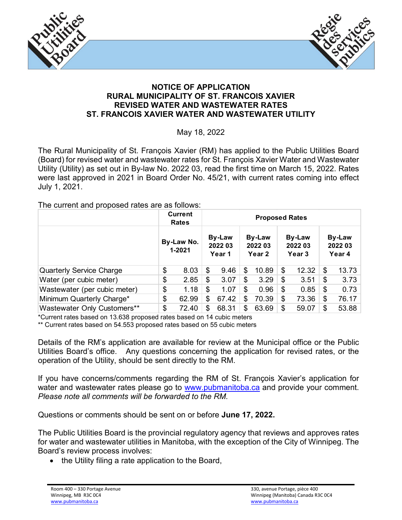



## **NOTICE OF APPLICATION RURAL MUNICIPALITY OF ST. FRANCOIS XAVIER REVISED WATER AND WASTEWATER RATES ST. FRANCOIS XAVIER WATER AND WASTEWATER UTILITY**

May 18, 2022

The Rural Municipality of St. François Xavier (RM) has applied to the Public Utilities Board (Board) for revised water and wastewater rates for St. François Xavier Water and Wastewater Utility (Utility) as set out in By-law No. 2022 03, read the first time on March 15, 2022. Rates were last approved in 2021 in Board Order No. 45/21, with current rates coming into effect July 1, 2021.

The current and proposed rates are as follows:

|                                 |                      | <b>Current</b><br><b>Rates</b> | <b>Proposed Rates</b>       |       |                             |       |                             |       |                             |       |
|---------------------------------|----------------------|--------------------------------|-----------------------------|-------|-----------------------------|-------|-----------------------------|-------|-----------------------------|-------|
|                                 | By-Law No.<br>1-2021 |                                | By-Law<br>2022 03<br>Year 1 |       | By-Law<br>2022 03<br>Year 2 |       | By-Law<br>2022 03<br>Year 3 |       | By-Law<br>2022 03<br>Year 4 |       |
| <b>Quarterly Service Charge</b> | \$                   | 8.03                           | \$                          | 9.46  | \$                          | 10.89 | \$                          | 12.32 | \$                          | 13.73 |
| Water (per cubic meter)         | \$                   | 2.85                           | \$                          | 3.07  | \$                          | 3.29  | \$                          | 3.51  | \$                          | 3.73  |
| Wastewater (per cubic meter)    | \$                   | 1.18                           | \$                          | 1.07  | \$                          | 0.96  | \$                          | 0.85  | \$                          | 0.73  |
| Minimum Quarterly Charge*       | \$                   | 62.99                          | \$                          | 67.42 | \$                          | 70.39 | \$                          | 73.36 | \$                          | 76.17 |
| Wastewater Only Customers**     | \$                   | 72.40                          | S                           | 68.31 | \$                          | 63.69 | S                           | 59.07 | \$                          | 53.88 |

\*Current rates based on 13.638 proposed rates based on 14 cubic meters

\*\* Current rates based on 54.553 proposed rates based on 55 cubic meters

Details of the RM's application are available for review at the Municipal office or the Public Utilities Board's office. Any questions concerning the application for revised rates, or the operation of the Utility, should be sent directly to the RM.

If you have concerns/comments regarding the RM of St. François Xavier's application for water and wastewater rates please go to [www.pubmanitoba.ca](http://www.pubmanitoba.ca/) and provide your comment. *Please note all comments will be forwarded to the RM.*

Questions or comments should be sent on or before **June 17, 2022.**

The Public Utilities Board is the provincial regulatory agency that reviews and approves rates for water and wastewater utilities in Manitoba, with the exception of the City of Winnipeg. The Board's review process involves:

• the Utility filing a rate application to the Board,